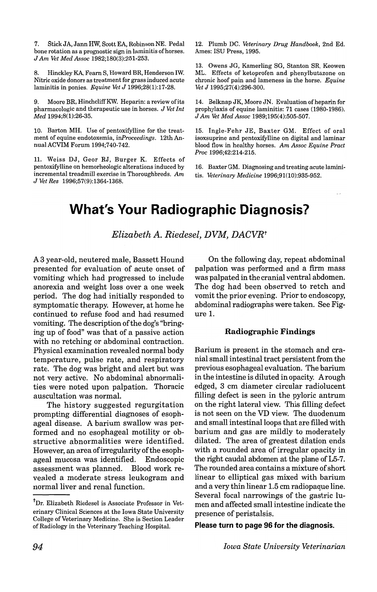7. Stick JA, Jann HW, Scott EA, Robinson NE. Pedal bone rotation as a prognostic sign in laminitis of horses. J *Am vet Med* Assoc 1982;180(3):251-253.

8. Hinckley KA, Fearn S, Howard BR, Henderson IW. Nitric oxide donors as treatment for grass induced acute laminitis in ponies. *Equine Vet* J 1996;28(1):17-28.

9. Moore BR, HinchcliffKW. Heparin: a review ofits pharmacologic and therapeutic use in horses. J *vet Int Med 1994;8(1):26-35.* 

10. Barton MH. Use of pentoxifylline for the treatment of equine endotoxemia, *inProceedings.* 12th AnnualACVIM Forum 1994;740-742.

11. Weiss DJ, Geor RJ, Burger K. Effects of pentoxifyIline on hemorheologic alterations induced by incremental treadmill exercise in Thoroughbreds. *Am*  J *Vet Res 1996;57(9):1364-1368.* 

12. Plumb DC. *Veterinary Drug Handbook,* 2nd Ed. Ames: ISU Press, 1995.

13. Owens JG, Kamerling SG, Stanton SR, Keowen ML. Effects of ketoprofen and phenylbutazone on chronic hoof pain and lameness in the horse. *Equine vet* J *1995;27(4):296-300.* 

14. Belknap JK, Moore IN. Evaluation of heparin for prophylaxis of equine laminitis: 71 cases (1980-1986). J *Am vet Med Assoc 1989;195(4):505-507.* 

15. Ingle-Fehr JE, Baxter GM. Effect of oral isoxsuprine and pentoxifylline on digital and laminar blood flow in healthy horses. *Am Assoc Equine Pract Proc 1996;42:214-215.* 

16. Baxter GM. Diagnosing and treating acute laminitis. *veterinary Medicine 1996;91(10):935-952.* 

## **What's Your Radiographic Diagnosis?**

*Elizabeth* A. *Riedesel,* DVM, DACVRt

A 3 year-old, neutered male, Bassett Hound presented for evaluation of acute onset of vomiting which had progressed to include anorexia and weight loss over a one week period. The dog had initially responded to symptomatic therapy. However, at home he continued to refuse food and had resumed vomiting. The description of the dog's ''bringing up of food" was that of a passive action with no retching or abdominal contraction. Physical examination revealed normal body temperature, pulse rate, and respiratory rate. The dog was bright and alert but was not very active. No abdominal abnormalities were noted upon palpation. Thoracic auscultation was normal.

The history suggested regurgitation prompting differential diagnoses of esophageal disease. A barium swallow was performed and no esophageal motility or obstructive abnormalities were identified. However, an area ofirregularity of the esophageal mucosa was identified. Endoscopic assessment was planned. Blood work revealed a moderate stress leukogram and normal liver and renal function.

On the following day, repeat abdominal palpation was performed and a firm mass was palpated in the cranial ventral abdomen. The dog had been observed to retch and vomit the prior evening. Prior to endoscopy, abdominal radiographs were taken. See Figure 1.

#### **Radiographic Findings**

Barium is present in the stomach and cranial small intestinal tract persistent from the previous esophageal evaluation. The barium in the intestine is diluted in opacity. Arough edged, 3 cm diameter circular radiolucent filling defect is seen in the pyloric antrum on the right lateral view. This filling defect is not seen on the VD view. The duodenum and small intestinal loops that are filled with barium and gas are mildly to moderately dilated. The area of greatest dilation ends with a rounded area of irregular opacity in the right caudal abdomen at the plane of L5-7. The rounded area contains a mixture of short linear to elliptical gas mixed with barium and a very thin linear 1.5 cm radiopaque line. Several focal narrowings of the gastric lumen and affected small intestine indicate the presence of peristalsis.

**Please turn to page 96 for the diagnosis.** 

<sup>&</sup>lt;sup>†</sup>Dr. Elizabeth Riedesel is Associate Professor in Veterinary Clinical Sciences at the Iowa State University College of Veterinary Medicine. She is Section Leader of Radiology in the Veterinary Teaching Hospital.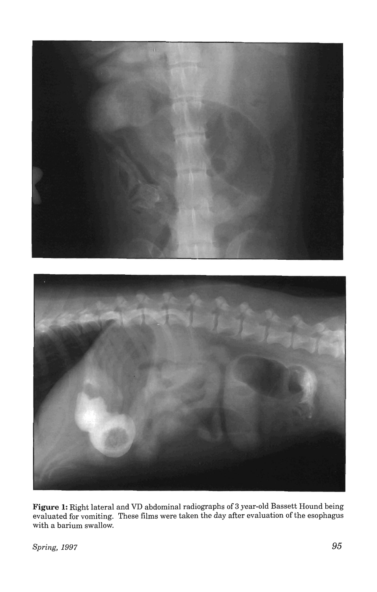



**Figure 1:** Right lateral and VD abdominal radiographs of 3 year-old Bassett Hound being evaluated for vomiting. These films were taken the day after evaluation of the esophagus with a barium swallow.

**Spring, 1997 95**